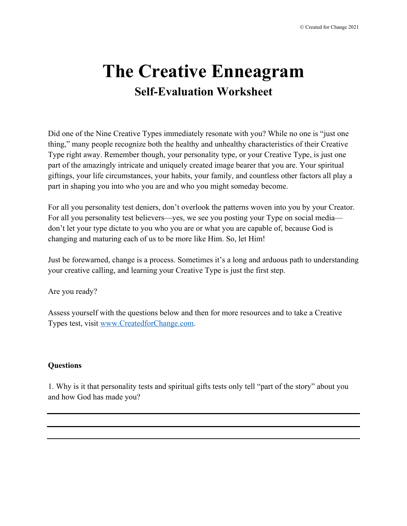## **The Creative Enneagram Self-Evaluation Worksheet**

Did one of the Nine Creative Types immediately resonate with you? While no one is "just one thing," many people recognize both the healthy and unhealthy characteristics of their Creative Type right away. Remember though, your personality type, or your Creative Type, is just one part of the amazingly intricate and uniquely created image bearer that you are. Your spiritual giftings, your life circumstances, your habits, your family, and countless other factors all play a part in shaping you into who you are and who you might someday become.

For all you personality test deniers, don't overlook the patterns woven into you by your Creator. For all you personality test believers—yes, we see you posting your Type on social media don't let your type dictate to you who you are or what you are capable of, because God is changing and maturing each of us to be more like Him. So, let Him!

Just be forewarned, change is a process. Sometimes it's a long and arduous path to understanding your creative calling, and learning your Creative Type is just the first step.

Are you ready?

Assess yourself with the questions below and then for more resources and to take a Creative Types test, visit www.CreatedforChange.com.

## **Questions**

1. Why is it that personality tests and spiritual gifts tests only tell "part of the story" about you and how God has made you?